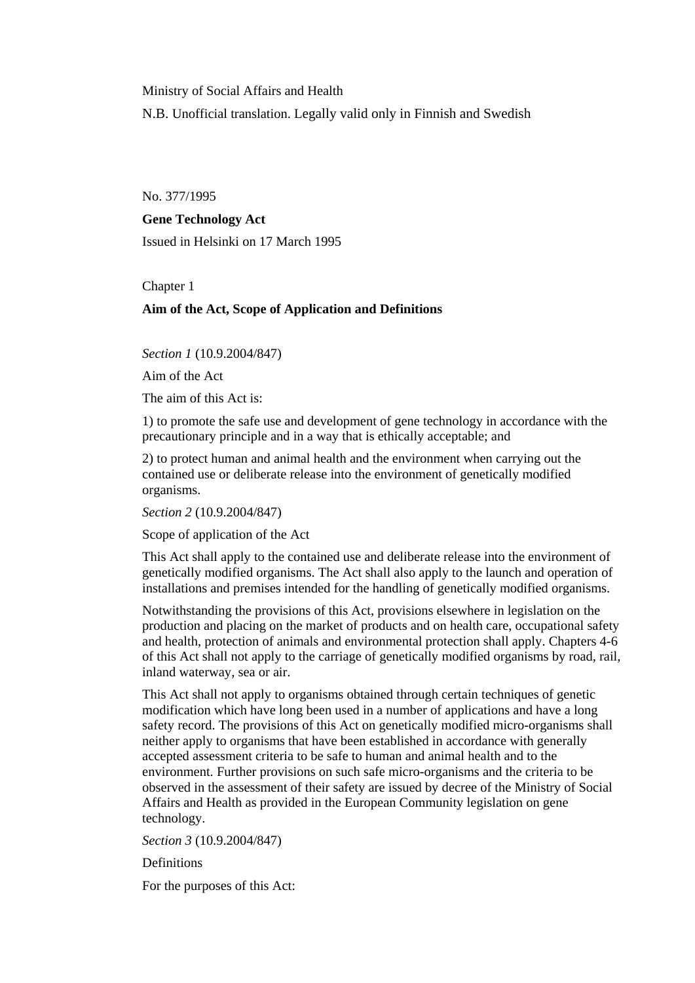Ministry of Social Affairs and Health

N.B. Unofficial translation. Legally valid only in Finnish and Swedish

No. 377/1995

# **Gene Technology Act**

Issued in Helsinki on 17 March 1995

# Chapter 1

# **Aim of the Act, Scope of Application and Definitions**

*Section 1* (10.9.2004/847)

Aim of the Act

The aim of this Act is:

1) to promote the safe use and development of gene technology in accordance with the precautionary principle and in a way that is ethically acceptable; and

2) to protect human and animal health and the environment when carrying out the contained use or deliberate release into the environment of genetically modified organisms.

*Section 2* (10.9.2004/847)

Scope of application of the Act

This Act shall apply to the contained use and deliberate release into the environment of genetically modified organisms. The Act shall also apply to the launch and operation of installations and premises intended for the handling of genetically modified organisms.

Notwithstanding the provisions of this Act, provisions elsewhere in legislation on the production and placing on the market of products and on health care, occupational safety and health, protection of animals and environmental protection shall apply. Chapters 4-6 of this Act shall not apply to the carriage of genetically modified organisms by road, rail, inland waterway, sea or air.

This Act shall not apply to organisms obtained through certain techniques of genetic modification which have long been used in a number of applications and have a long safety record. The provisions of this Act on genetically modified micro-organisms shall neither apply to organisms that have been established in accordance with generally accepted assessment criteria to be safe to human and animal health and to the environment. Further provisions on such safe micro-organisms and the criteria to be observed in the assessment of their safety are issued by decree of the Ministry of Social Affairs and Health as provided in the European Community legislation on gene technology.

*Section 3* (10.9.2004/847)

**Definitions** 

For the purposes of this Act: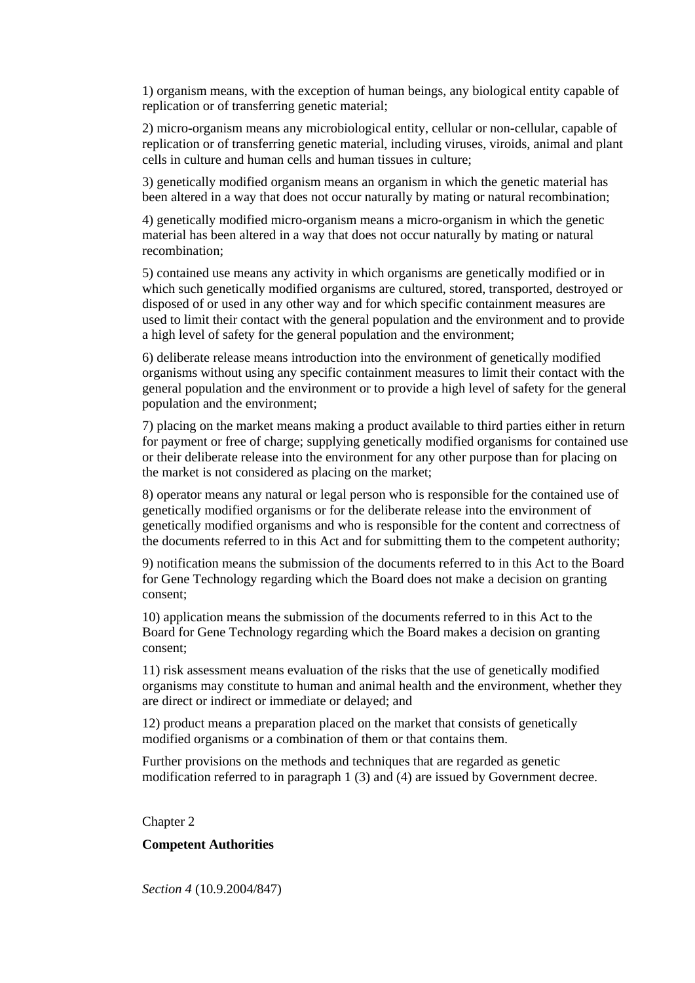1) organism means, with the exception of human beings, any biological entity capable of replication or of transferring genetic material;

2) micro-organism means any microbiological entity, cellular or non-cellular, capable of replication or of transferring genetic material, including viruses, viroids, animal and plant cells in culture and human cells and human tissues in culture;

3) genetically modified organism means an organism in which the genetic material has been altered in a way that does not occur naturally by mating or natural recombination;

4) genetically modified micro-organism means a micro-organism in which the genetic material has been altered in a way that does not occur naturally by mating or natural recombination;

5) contained use means any activity in which organisms are genetically modified or in which such genetically modified organisms are cultured, stored, transported, destroyed or disposed of or used in any other way and for which specific containment measures are used to limit their contact with the general population and the environment and to provide a high level of safety for the general population and the environment;

6) deliberate release means introduction into the environment of genetically modified organisms without using any specific containment measures to limit their contact with the general population and the environment or to provide a high level of safety for the general population and the environment;

7) placing on the market means making a product available to third parties either in return for payment or free of charge; supplying genetically modified organisms for contained use or their deliberate release into the environment for any other purpose than for placing on the market is not considered as placing on the market;

8) operator means any natural or legal person who is responsible for the contained use of genetically modified organisms or for the deliberate release into the environment of genetically modified organisms and who is responsible for the content and correctness of the documents referred to in this Act and for submitting them to the competent authority;

9) notification means the submission of the documents referred to in this Act to the Board for Gene Technology regarding which the Board does not make a decision on granting consent;

10) application means the submission of the documents referred to in this Act to the Board for Gene Technology regarding which the Board makes a decision on granting consent;

11) risk assessment means evaluation of the risks that the use of genetically modified organisms may constitute to human and animal health and the environment, whether they are direct or indirect or immediate or delayed; and

12) product means a preparation placed on the market that consists of genetically modified organisms or a combination of them or that contains them.

Further provisions on the methods and techniques that are regarded as genetic modification referred to in paragraph 1 (3) and (4) are issued by Government decree.

Chapter 2

# **Competent Authorities**

*Section 4* (10.9.2004/847)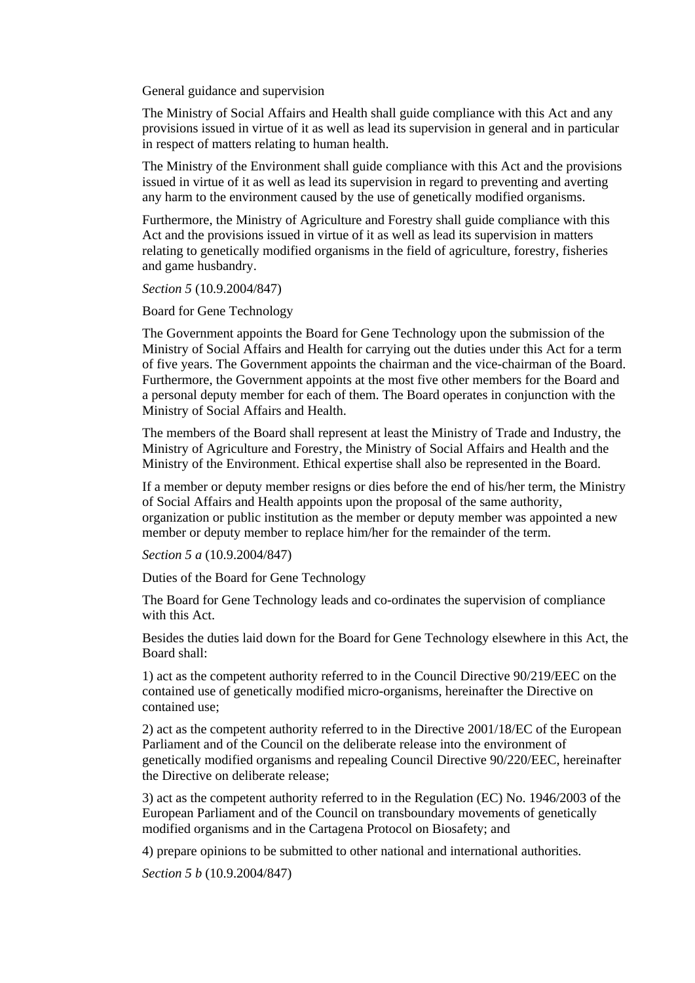General guidance and supervision

The Ministry of Social Affairs and Health shall guide compliance with this Act and any provisions issued in virtue of it as well as lead its supervision in general and in particular in respect of matters relating to human health.

The Ministry of the Environment shall guide compliance with this Act and the provisions issued in virtue of it as well as lead its supervision in regard to preventing and averting any harm to the environment caused by the use of genetically modified organisms.

Furthermore, the Ministry of Agriculture and Forestry shall guide compliance with this Act and the provisions issued in virtue of it as well as lead its supervision in matters relating to genetically modified organisms in the field of agriculture, forestry, fisheries and game husbandry.

*Section 5* (10.9.2004/847)

Board for Gene Technology

The Government appoints the Board for Gene Technology upon the submission of the Ministry of Social Affairs and Health for carrying out the duties under this Act for a term of five years. The Government appoints the chairman and the vice-chairman of the Board. Furthermore, the Government appoints at the most five other members for the Board and a personal deputy member for each of them. The Board operates in conjunction with the Ministry of Social Affairs and Health.

The members of the Board shall represent at least the Ministry of Trade and Industry, the Ministry of Agriculture and Forestry, the Ministry of Social Affairs and Health and the Ministry of the Environment. Ethical expertise shall also be represented in the Board.

If a member or deputy member resigns or dies before the end of his/her term, the Ministry of Social Affairs and Health appoints upon the proposal of the same authority, organization or public institution as the member or deputy member was appointed a new member or deputy member to replace him/her for the remainder of the term.

*Section 5 a* (10.9.2004/847)

Duties of the Board for Gene Technology

The Board for Gene Technology leads and co-ordinates the supervision of compliance with this Act.

Besides the duties laid down for the Board for Gene Technology elsewhere in this Act, the Board shall:

1) act as the competent authority referred to in the Council Directive 90/219/EEC on the contained use of genetically modified micro-organisms, hereinafter the Directive on contained use;

2) act as the competent authority referred to in the Directive 2001/18/EC of the European Parliament and of the Council on the deliberate release into the environment of genetically modified organisms and repealing Council Directive 90/220/EEC, hereinafter the Directive on deliberate release;

3) act as the competent authority referred to in the Regulation (EC) No. 1946/2003 of the European Parliament and of the Council on transboundary movements of genetically modified organisms and in the Cartagena Protocol on Biosafety; and

4) prepare opinions to be submitted to other national and international authorities.

*Section 5 b* (10.9.2004/847)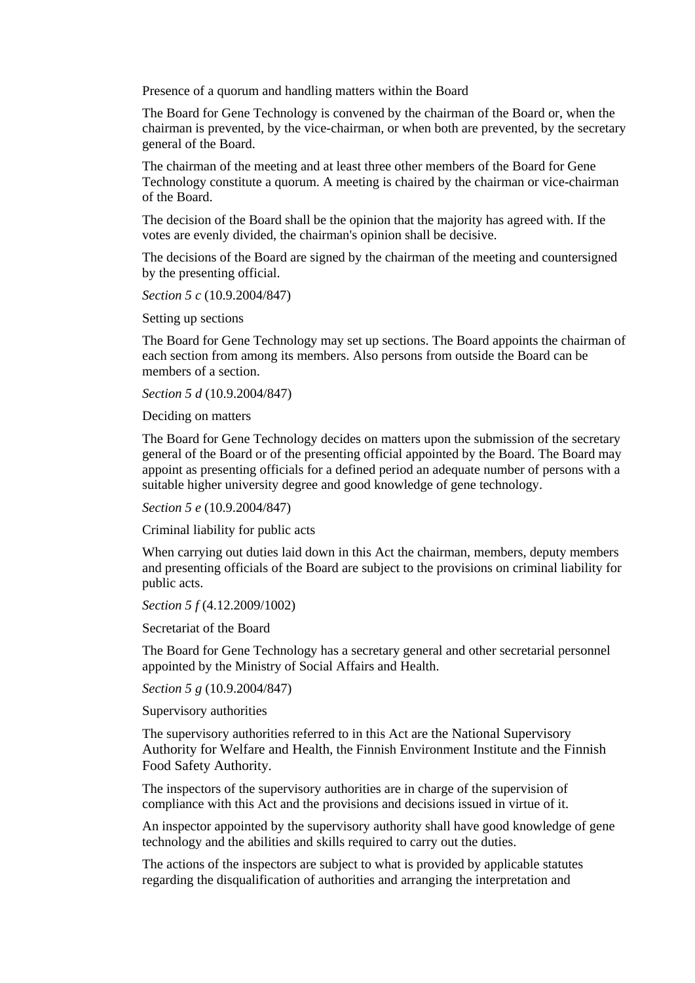Presence of a quorum and handling matters within the Board

The Board for Gene Technology is convened by the chairman of the Board or, when the chairman is prevented, by the vice-chairman, or when both are prevented, by the secretary general of the Board.

The chairman of the meeting and at least three other members of the Board for Gene Technology constitute a quorum. A meeting is chaired by the chairman or vice-chairman of the Board.

The decision of the Board shall be the opinion that the majority has agreed with. If the votes are evenly divided, the chairman's opinion shall be decisive.

The decisions of the Board are signed by the chairman of the meeting and countersigned by the presenting official.

*Section 5 c* (10.9.2004/847)

Setting up sections

The Board for Gene Technology may set up sections. The Board appoints the chairman of each section from among its members. Also persons from outside the Board can be members of a section.

*Section 5 d* (10.9.2004/847)

Deciding on matters

The Board for Gene Technology decides on matters upon the submission of the secretary general of the Board or of the presenting official appointed by the Board. The Board may appoint as presenting officials for a defined period an adequate number of persons with a suitable higher university degree and good knowledge of gene technology.

*Section 5 e* (10.9.2004/847)

Criminal liability for public acts

When carrying out duties laid down in this Act the chairman, members, deputy members and presenting officials of the Board are subject to the provisions on criminal liability for public acts.

*Section 5 f* (4.12.2009/1002)

Secretariat of the Board

The Board for Gene Technology has a secretary general and other secretarial personnel appointed by the Ministry of Social Affairs and Health.

*Section 5 g* (10.9.2004/847)

Supervisory authorities

The supervisory authorities referred to in this Act are the National Supervisory Authority for Welfare and Health, the Finnish Environment Institute and the Finnish Food Safety Authority.

The inspectors of the supervisory authorities are in charge of the supervision of compliance with this Act and the provisions and decisions issued in virtue of it.

An inspector appointed by the supervisory authority shall have good knowledge of gene technology and the abilities and skills required to carry out the duties.

The actions of the inspectors are subject to what is provided by applicable statutes regarding the disqualification of authorities and arranging the interpretation and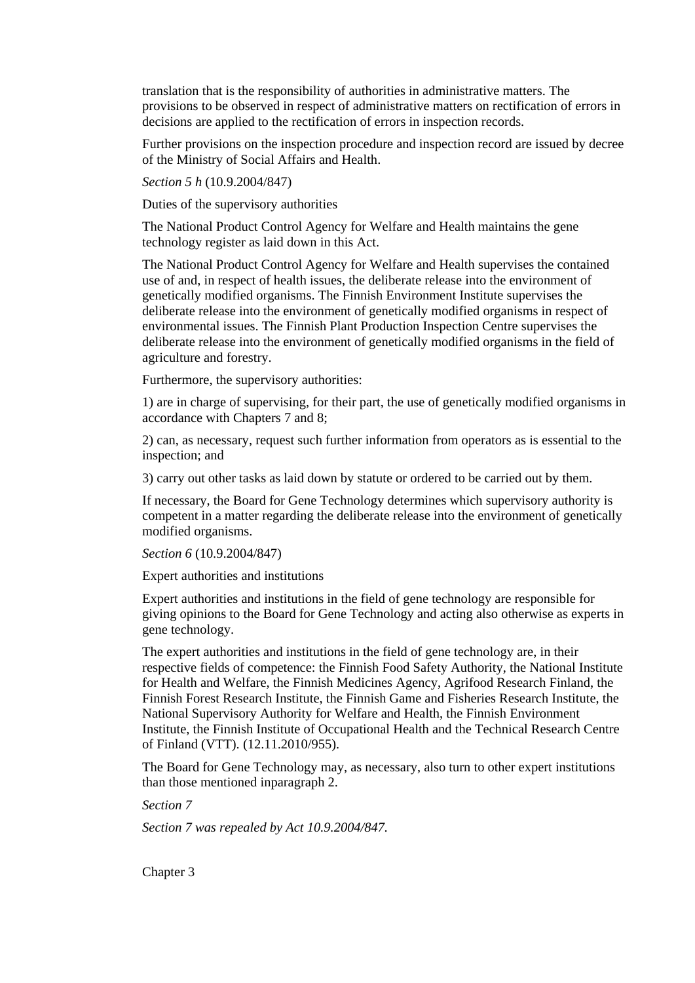translation that is the responsibility of authorities in administrative matters. The provisions to be observed in respect of administrative matters on rectification of errors in decisions are applied to the rectification of errors in inspection records.

Further provisions on the inspection procedure and inspection record are issued by decree of the Ministry of Social Affairs and Health.

*Section 5 h* (10.9.2004/847)

Duties of the supervisory authorities

The National Product Control Agency for Welfare and Health maintains the gene technology register as laid down in this Act.

The National Product Control Agency for Welfare and Health supervises the contained use of and, in respect of health issues, the deliberate release into the environment of genetically modified organisms. The Finnish Environment Institute supervises the deliberate release into the environment of genetically modified organisms in respect of environmental issues. The Finnish Plant Production Inspection Centre supervises the deliberate release into the environment of genetically modified organisms in the field of agriculture and forestry.

Furthermore, the supervisory authorities:

1) are in charge of supervising, for their part, the use of genetically modified organisms in accordance with Chapters 7 and 8;

2) can, as necessary, request such further information from operators as is essential to the inspection; and

3) carry out other tasks as laid down by statute or ordered to be carried out by them.

If necessary, the Board for Gene Technology determines which supervisory authority is competent in a matter regarding the deliberate release into the environment of genetically modified organisms.

*Section 6* (10.9.2004/847)

Expert authorities and institutions

Expert authorities and institutions in the field of gene technology are responsible for giving opinions to the Board for Gene Technology and acting also otherwise as experts in gene technology.

The expert authorities and institutions in the field of gene technology are, in their respective fields of competence: the Finnish Food Safety Authority, the National Institute for Health and Welfare, the Finnish Medicines Agency, Agrifood Research Finland, the Finnish Forest Research Institute, the Finnish Game and Fisheries Research Institute, the National Supervisory Authority for Welfare and Health, the Finnish Environment Institute, the Finnish Institute of Occupational Health and the Technical Research Centre of Finland (VTT). (12.11.2010/955).

The Board for Gene Technology may, as necessary, also turn to other expert institutions than those mentioned inparagraph 2.

*Section 7* 

*Section 7 was repealed by Act 10.9.2004/847.* 

Chapter 3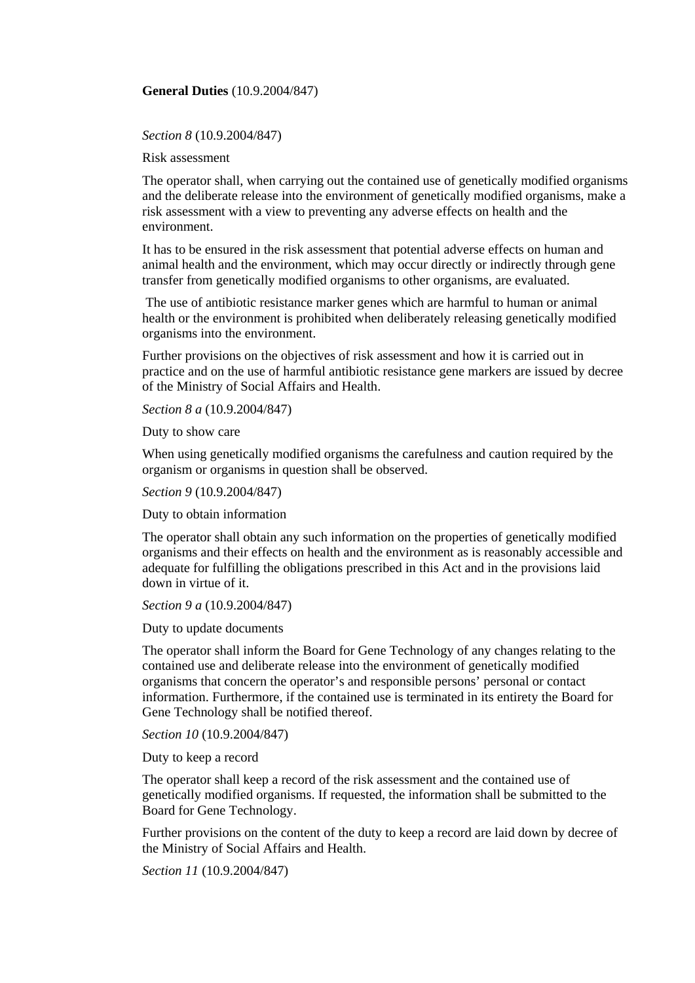# **General Duties** (10.9.2004/847)

### *Section 8* (10.9.2004/847)

Risk assessment

The operator shall, when carrying out the contained use of genetically modified organisms and the deliberate release into the environment of genetically modified organisms, make a risk assessment with a view to preventing any adverse effects on health and the environment.

It has to be ensured in the risk assessment that potential adverse effects on human and animal health and the environment, which may occur directly or indirectly through gene transfer from genetically modified organisms to other organisms, are evaluated.

 The use of antibiotic resistance marker genes which are harmful to human or animal health or the environment is prohibited when deliberately releasing genetically modified organisms into the environment.

Further provisions on the objectives of risk assessment and how it is carried out in practice and on the use of harmful antibiotic resistance gene markers are issued by decree of the Ministry of Social Affairs and Health.

*Section 8 a* (10.9.2004/847)

Duty to show care

When using genetically modified organisms the carefulness and caution required by the organism or organisms in question shall be observed.

*Section 9* (10.9.2004/847)

Duty to obtain information

The operator shall obtain any such information on the properties of genetically modified organisms and their effects on health and the environment as is reasonably accessible and adequate for fulfilling the obligations prescribed in this Act and in the provisions laid down in virtue of it.

*Section 9 a* (10.9.2004/847)

Duty to update documents

The operator shall inform the Board for Gene Technology of any changes relating to the contained use and deliberate release into the environment of genetically modified organisms that concern the operator's and responsible persons' personal or contact information. Furthermore, if the contained use is terminated in its entirety the Board for Gene Technology shall be notified thereof.

*Section 10* (10.9.2004/847)

Duty to keep a record

The operator shall keep a record of the risk assessment and the contained use of genetically modified organisms. If requested, the information shall be submitted to the Board for Gene Technology.

Further provisions on the content of the duty to keep a record are laid down by decree of the Ministry of Social Affairs and Health.

*Section 11* (10.9.2004/847)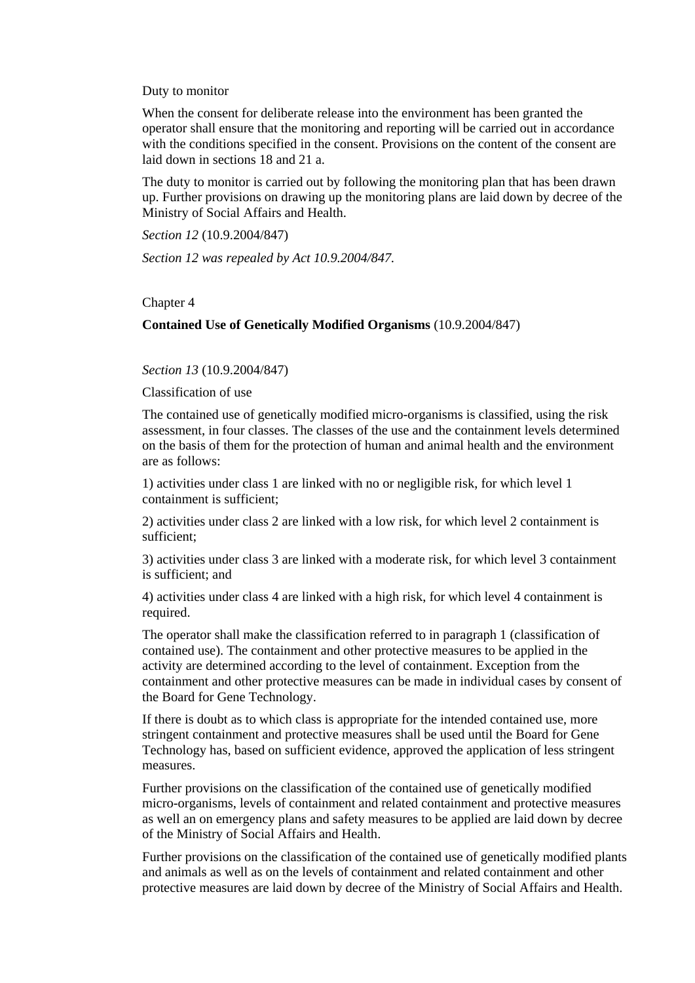Duty to monitor

When the consent for deliberate release into the environment has been granted the operator shall ensure that the monitoring and reporting will be carried out in accordance with the conditions specified in the consent. Provisions on the content of the consent are laid down in sections 18 and 21 a.

The duty to monitor is carried out by following the monitoring plan that has been drawn up. Further provisions on drawing up the monitoring plans are laid down by decree of the Ministry of Social Affairs and Health.

*Section 12* (10.9.2004/847)

*Section 12 was repealed by Act 10.9.2004/847.* 

### Chapter 4

## **Contained Use of Genetically Modified Organisms** (10.9.2004/847)

*Section 13* (10.9.2004/847)

Classification of use

The contained use of genetically modified micro-organisms is classified, using the risk assessment, in four classes. The classes of the use and the containment levels determined on the basis of them for the protection of human and animal health and the environment are as follows:

1) activities under class 1 are linked with no or negligible risk, for which level 1 containment is sufficient;

2) activities under class 2 are linked with a low risk, for which level 2 containment is sufficient;

3) activities under class 3 are linked with a moderate risk, for which level 3 containment is sufficient; and

4) activities under class 4 are linked with a high risk, for which level 4 containment is required.

The operator shall make the classification referred to in paragraph 1 (classification of contained use). The containment and other protective measures to be applied in the activity are determined according to the level of containment. Exception from the containment and other protective measures can be made in individual cases by consent of the Board for Gene Technology.

If there is doubt as to which class is appropriate for the intended contained use, more stringent containment and protective measures shall be used until the Board for Gene Technology has, based on sufficient evidence, approved the application of less stringent measures.

Further provisions on the classification of the contained use of genetically modified micro-organisms, levels of containment and related containment and protective measures as well an on emergency plans and safety measures to be applied are laid down by decree of the Ministry of Social Affairs and Health.

Further provisions on the classification of the contained use of genetically modified plants and animals as well as on the levels of containment and related containment and other protective measures are laid down by decree of the Ministry of Social Affairs and Health.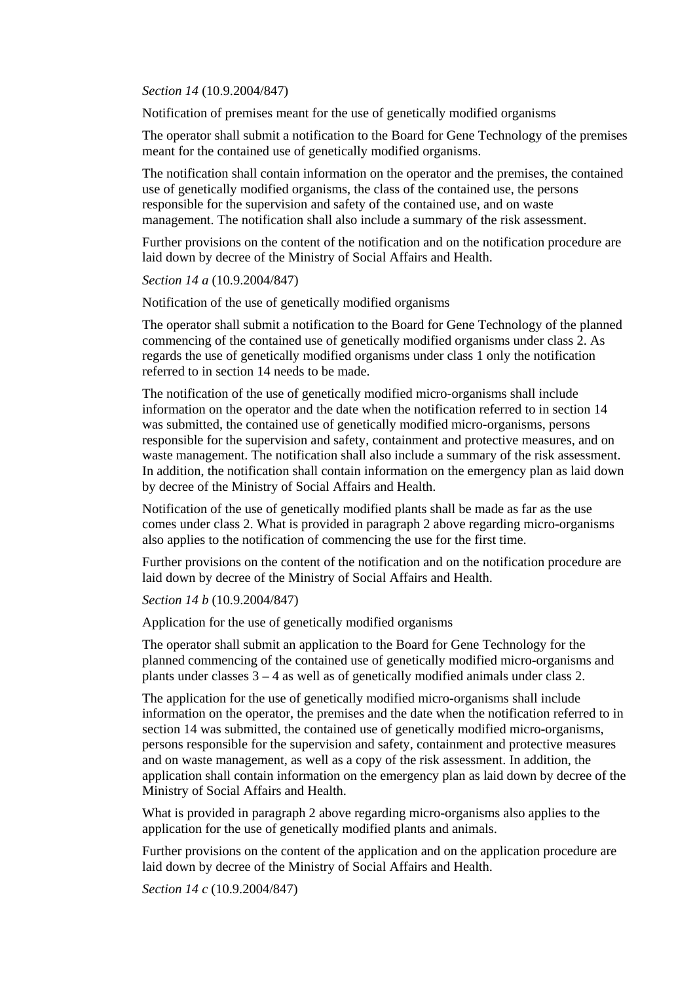*Section 14* (10.9.2004/847)

Notification of premises meant for the use of genetically modified organisms

The operator shall submit a notification to the Board for Gene Technology of the premises meant for the contained use of genetically modified organisms.

The notification shall contain information on the operator and the premises, the contained use of genetically modified organisms, the class of the contained use, the persons responsible for the supervision and safety of the contained use, and on waste management. The notification shall also include a summary of the risk assessment.

Further provisions on the content of the notification and on the notification procedure are laid down by decree of the Ministry of Social Affairs and Health.

*Section 14 a* (10.9.2004/847)

Notification of the use of genetically modified organisms

The operator shall submit a notification to the Board for Gene Technology of the planned commencing of the contained use of genetically modified organisms under class 2. As regards the use of genetically modified organisms under class 1 only the notification referred to in section 14 needs to be made.

The notification of the use of genetically modified micro-organisms shall include information on the operator and the date when the notification referred to in section 14 was submitted, the contained use of genetically modified micro-organisms, persons responsible for the supervision and safety, containment and protective measures, and on waste management. The notification shall also include a summary of the risk assessment. In addition, the notification shall contain information on the emergency plan as laid down by decree of the Ministry of Social Affairs and Health.

Notification of the use of genetically modified plants shall be made as far as the use comes under class 2. What is provided in paragraph 2 above regarding micro-organisms also applies to the notification of commencing the use for the first time.

Further provisions on the content of the notification and on the notification procedure are laid down by decree of the Ministry of Social Affairs and Health.

*Section 14 b* (10.9.2004/847)

Application for the use of genetically modified organisms

The operator shall submit an application to the Board for Gene Technology for the planned commencing of the contained use of genetically modified micro-organisms and plants under classes  $3 - 4$  as well as of genetically modified animals under class 2.

The application for the use of genetically modified micro-organisms shall include information on the operator, the premises and the date when the notification referred to in section 14 was submitted, the contained use of genetically modified micro-organisms, persons responsible for the supervision and safety, containment and protective measures and on waste management, as well as a copy of the risk assessment. In addition, the application shall contain information on the emergency plan as laid down by decree of the Ministry of Social Affairs and Health.

What is provided in paragraph 2 above regarding micro-organisms also applies to the application for the use of genetically modified plants and animals.

Further provisions on the content of the application and on the application procedure are laid down by decree of the Ministry of Social Affairs and Health.

*Section 14 c* (10.9.2004/847)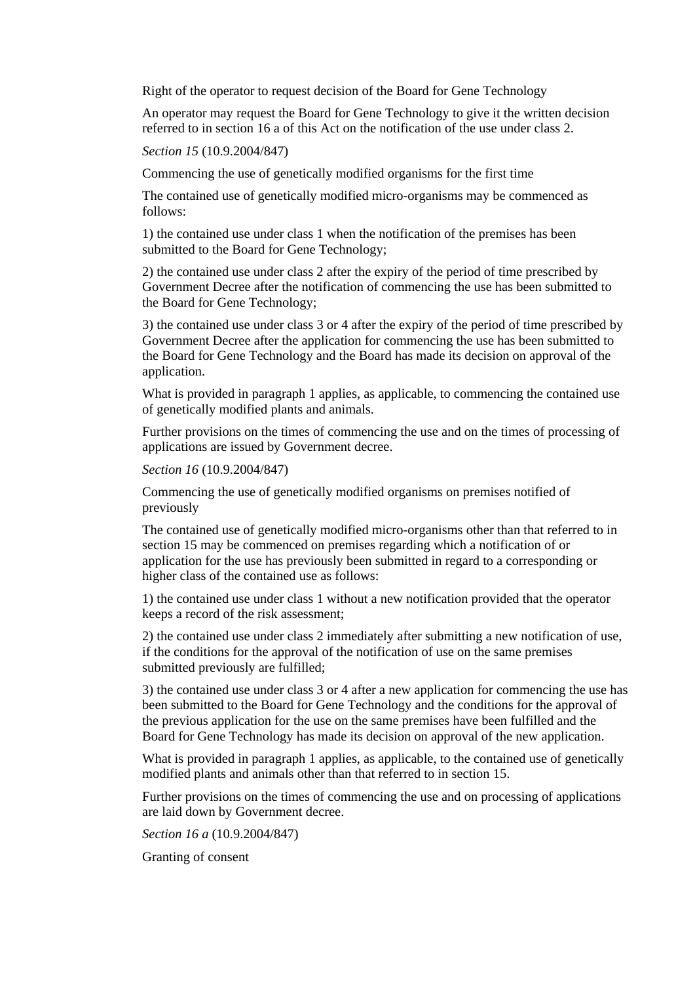Right of the operator to request decision of the Board for Gene Technology

An operator may request the Board for Gene Technology to give it the written decision referred to in section 16 a of this Act on the notification of the use under class 2.

*Section 15* (10.9.2004/847)

Commencing the use of genetically modified organisms for the first time

The contained use of genetically modified micro-organisms may be commenced as follows:

1) the contained use under class 1 when the notification of the premises has been submitted to the Board for Gene Technology;

2) the contained use under class 2 after the expiry of the period of time prescribed by Government Decree after the notification of commencing the use has been submitted to the Board for Gene Technology;

3) the contained use under class 3 or 4 after the expiry of the period of time prescribed by Government Decree after the application for commencing the use has been submitted to the Board for Gene Technology and the Board has made its decision on approval of the application.

What is provided in paragraph 1 applies, as applicable, to commencing the contained use of genetically modified plants and animals.

Further provisions on the times of commencing the use and on the times of processing of applications are issued by Government decree.

*Section 16* (10.9.2004/847)

Commencing the use of genetically modified organisms on premises notified of previously

The contained use of genetically modified micro-organisms other than that referred to in section 15 may be commenced on premises regarding which a notification of or application for the use has previously been submitted in regard to a corresponding or higher class of the contained use as follows:

1) the contained use under class 1 without a new notification provided that the operator keeps a record of the risk assessment;

2) the contained use under class 2 immediately after submitting a new notification of use, if the conditions for the approval of the notification of use on the same premises submitted previously are fulfilled;

3) the contained use under class 3 or 4 after a new application for commencing the use has been submitted to the Board for Gene Technology and the conditions for the approval of the previous application for the use on the same premises have been fulfilled and the Board for Gene Technology has made its decision on approval of the new application.

What is provided in paragraph 1 applies, as applicable, to the contained use of genetically modified plants and animals other than that referred to in section 15.

Further provisions on the times of commencing the use and on processing of applications are laid down by Government decree.

*Section 16 a* (10.9.2004/847)

Granting of consent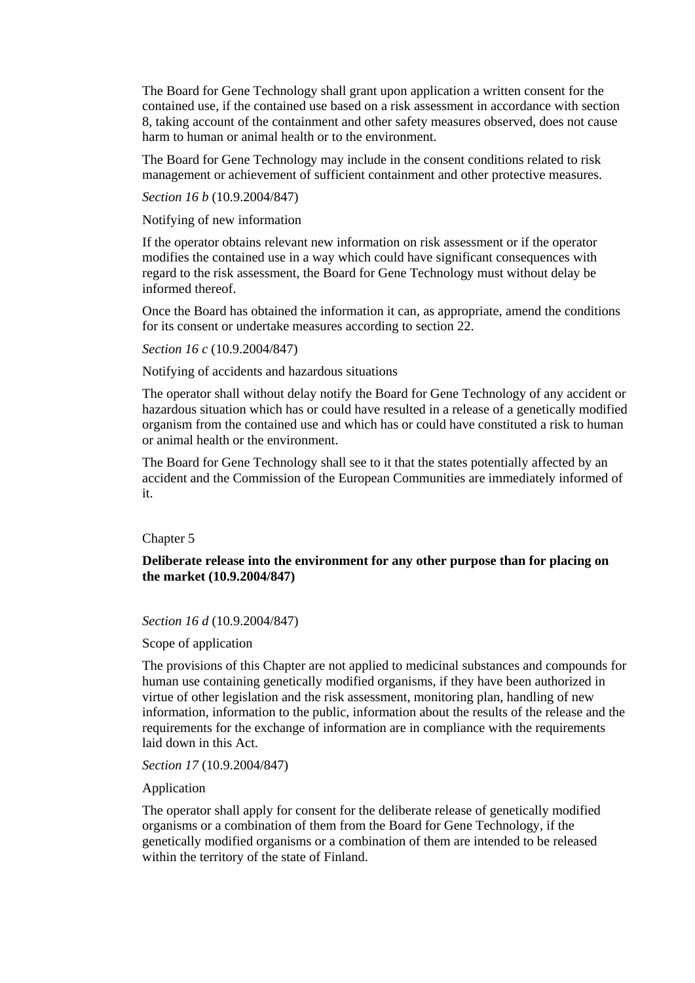The Board for Gene Technology shall grant upon application a written consent for the contained use, if the contained use based on a risk assessment in accordance with section 8, taking account of the containment and other safety measures observed, does not cause harm to human or animal health or to the environment.

The Board for Gene Technology may include in the consent conditions related to risk management or achievement of sufficient containment and other protective measures.

*Section 16 b* (10.9.2004/847)

Notifying of new information

If the operator obtains relevant new information on risk assessment or if the operator modifies the contained use in a way which could have significant consequences with regard to the risk assessment, the Board for Gene Technology must without delay be informed thereof.

Once the Board has obtained the information it can, as appropriate, amend the conditions for its consent or undertake measures according to section 22.

*Section 16 c* (10.9.2004/847)

Notifying of accidents and hazardous situations

The operator shall without delay notify the Board for Gene Technology of any accident or hazardous situation which has or could have resulted in a release of a genetically modified organism from the contained use and which has or could have constituted a risk to human or animal health or the environment.

The Board for Gene Technology shall see to it that the states potentially affected by an accident and the Commission of the European Communities are immediately informed of it.

### Chapter 5

**Deliberate release into the environment for any other purpose than for placing on the market (10.9.2004/847)** 

*Section 16 d* (10.9.2004/847)

Scope of application

The provisions of this Chapter are not applied to medicinal substances and compounds for human use containing genetically modified organisms, if they have been authorized in virtue of other legislation and the risk assessment, monitoring plan, handling of new information, information to the public, information about the results of the release and the requirements for the exchange of information are in compliance with the requirements laid down in this Act.

*Section 17* (10.9.2004/847)

Application

The operator shall apply for consent for the deliberate release of genetically modified organisms or a combination of them from the Board for Gene Technology, if the genetically modified organisms or a combination of them are intended to be released within the territory of the state of Finland.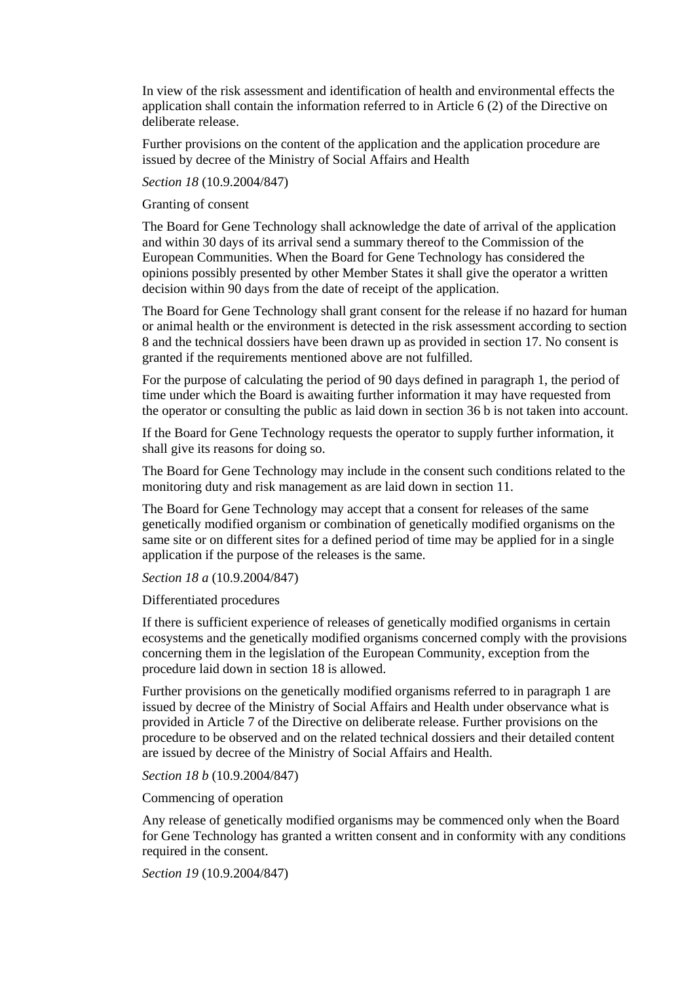In view of the risk assessment and identification of health and environmental effects the application shall contain the information referred to in Article 6 (2) of the Directive on deliberate release.

Further provisions on the content of the application and the application procedure are issued by decree of the Ministry of Social Affairs and Health

## *Section 18* (10.9.2004/847)

### Granting of consent

The Board for Gene Technology shall acknowledge the date of arrival of the application and within 30 days of its arrival send a summary thereof to the Commission of the European Communities. When the Board for Gene Technology has considered the opinions possibly presented by other Member States it shall give the operator a written decision within 90 days from the date of receipt of the application.

The Board for Gene Technology shall grant consent for the release if no hazard for human or animal health or the environment is detected in the risk assessment according to section 8 and the technical dossiers have been drawn up as provided in section 17. No consent is granted if the requirements mentioned above are not fulfilled.

For the purpose of calculating the period of 90 days defined in paragraph 1, the period of time under which the Board is awaiting further information it may have requested from the operator or consulting the public as laid down in section 36 b is not taken into account.

If the Board for Gene Technology requests the operator to supply further information, it shall give its reasons for doing so.

The Board for Gene Technology may include in the consent such conditions related to the monitoring duty and risk management as are laid down in section 11.

The Board for Gene Technology may accept that a consent for releases of the same genetically modified organism or combination of genetically modified organisms on the same site or on different sites for a defined period of time may be applied for in a single application if the purpose of the releases is the same.

# *Section 18 a* (10.9.2004/847)

# Differentiated procedures

If there is sufficient experience of releases of genetically modified organisms in certain ecosystems and the genetically modified organisms concerned comply with the provisions concerning them in the legislation of the European Community, exception from the procedure laid down in section 18 is allowed.

Further provisions on the genetically modified organisms referred to in paragraph 1 are issued by decree of the Ministry of Social Affairs and Health under observance what is provided in Article 7 of the Directive on deliberate release. Further provisions on the procedure to be observed and on the related technical dossiers and their detailed content are issued by decree of the Ministry of Social Affairs and Health.

### *Section 18 b* (10.9.2004/847)

### Commencing of operation

Any release of genetically modified organisms may be commenced only when the Board for Gene Technology has granted a written consent and in conformity with any conditions required in the consent.

*Section 19* (10.9.2004/847)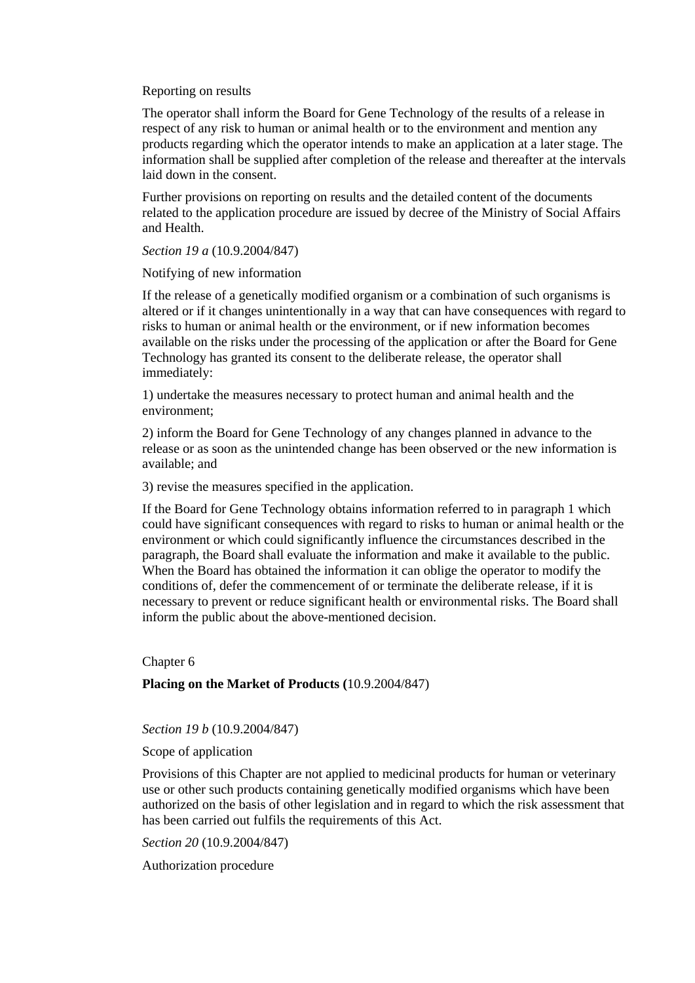Reporting on results

The operator shall inform the Board for Gene Technology of the results of a release in respect of any risk to human or animal health or to the environment and mention any products regarding which the operator intends to make an application at a later stage. The information shall be supplied after completion of the release and thereafter at the intervals laid down in the consent.

Further provisions on reporting on results and the detailed content of the documents related to the application procedure are issued by decree of the Ministry of Social Affairs and Health.

*Section 19 a* (10.9.2004/847)

Notifying of new information

If the release of a genetically modified organism or a combination of such organisms is altered or if it changes unintentionally in a way that can have consequences with regard to risks to human or animal health or the environment, or if new information becomes available on the risks under the processing of the application or after the Board for Gene Technology has granted its consent to the deliberate release, the operator shall immediately:

1) undertake the measures necessary to protect human and animal health and the environment;

2) inform the Board for Gene Technology of any changes planned in advance to the release or as soon as the unintended change has been observed or the new information is available; and

3) revise the measures specified in the application.

If the Board for Gene Technology obtains information referred to in paragraph 1 which could have significant consequences with regard to risks to human or animal health or the environment or which could significantly influence the circumstances described in the paragraph, the Board shall evaluate the information and make it available to the public. When the Board has obtained the information it can oblige the operator to modify the conditions of, defer the commencement of or terminate the deliberate release, if it is necessary to prevent or reduce significant health or environmental risks. The Board shall inform the public about the above-mentioned decision.

Chapter 6

# **Placing on the Market of Products (**10.9.2004/847)

*Section 19 b* (10.9.2004/847)

Scope of application

Provisions of this Chapter are not applied to medicinal products for human or veterinary use or other such products containing genetically modified organisms which have been authorized on the basis of other legislation and in regard to which the risk assessment that has been carried out fulfils the requirements of this Act.

*Section 20* (10.9.2004/847)

Authorization procedure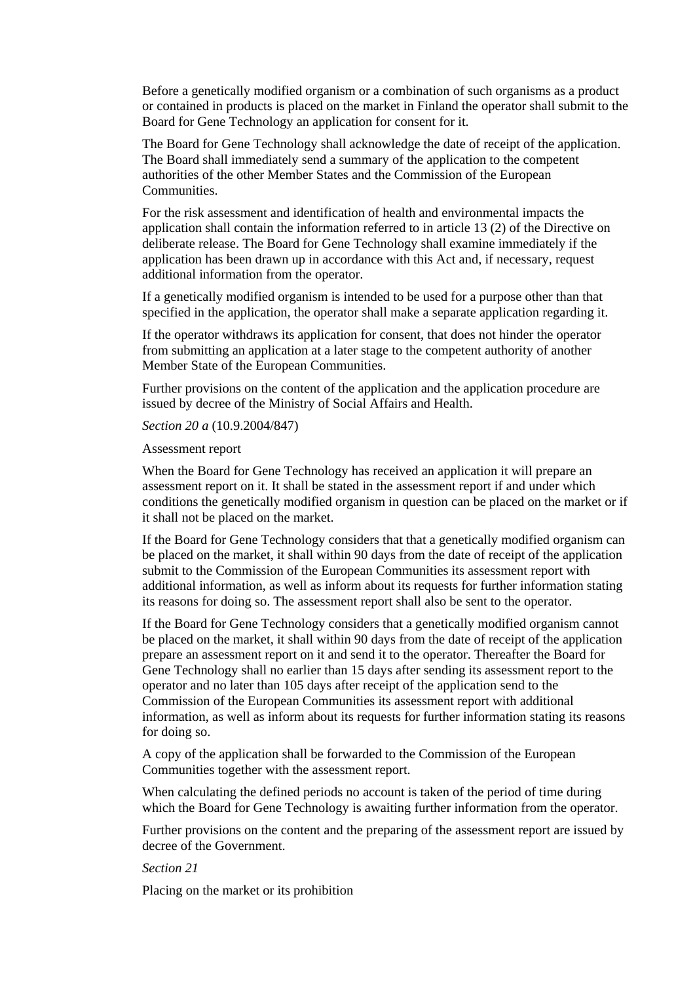Before a genetically modified organism or a combination of such organisms as a product or contained in products is placed on the market in Finland the operator shall submit to the Board for Gene Technology an application for consent for it.

The Board for Gene Technology shall acknowledge the date of receipt of the application. The Board shall immediately send a summary of the application to the competent authorities of the other Member States and the Commission of the European **Communities** 

For the risk assessment and identification of health and environmental impacts the application shall contain the information referred to in article 13 (2) of the Directive on deliberate release. The Board for Gene Technology shall examine immediately if the application has been drawn up in accordance with this Act and, if necessary, request additional information from the operator.

If a genetically modified organism is intended to be used for a purpose other than that specified in the application, the operator shall make a separate application regarding it.

If the operator withdraws its application for consent, that does not hinder the operator from submitting an application at a later stage to the competent authority of another Member State of the European Communities.

Further provisions on the content of the application and the application procedure are issued by decree of the Ministry of Social Affairs and Health.

#### *Section 20 a* (10.9.2004/847)

### Assessment report

When the Board for Gene Technology has received an application it will prepare an assessment report on it. It shall be stated in the assessment report if and under which conditions the genetically modified organism in question can be placed on the market or if it shall not be placed on the market.

If the Board for Gene Technology considers that that a genetically modified organism can be placed on the market, it shall within 90 days from the date of receipt of the application submit to the Commission of the European Communities its assessment report with additional information, as well as inform about its requests for further information stating its reasons for doing so. The assessment report shall also be sent to the operator.

If the Board for Gene Technology considers that a genetically modified organism cannot be placed on the market, it shall within 90 days from the date of receipt of the application prepare an assessment report on it and send it to the operator. Thereafter the Board for Gene Technology shall no earlier than 15 days after sending its assessment report to the operator and no later than 105 days after receipt of the application send to the Commission of the European Communities its assessment report with additional information, as well as inform about its requests for further information stating its reasons for doing so.

A copy of the application shall be forwarded to the Commission of the European Communities together with the assessment report.

When calculating the defined periods no account is taken of the period of time during which the Board for Gene Technology is awaiting further information from the operator.

Further provisions on the content and the preparing of the assessment report are issued by decree of the Government.

#### *Section 21*

Placing on the market or its prohibition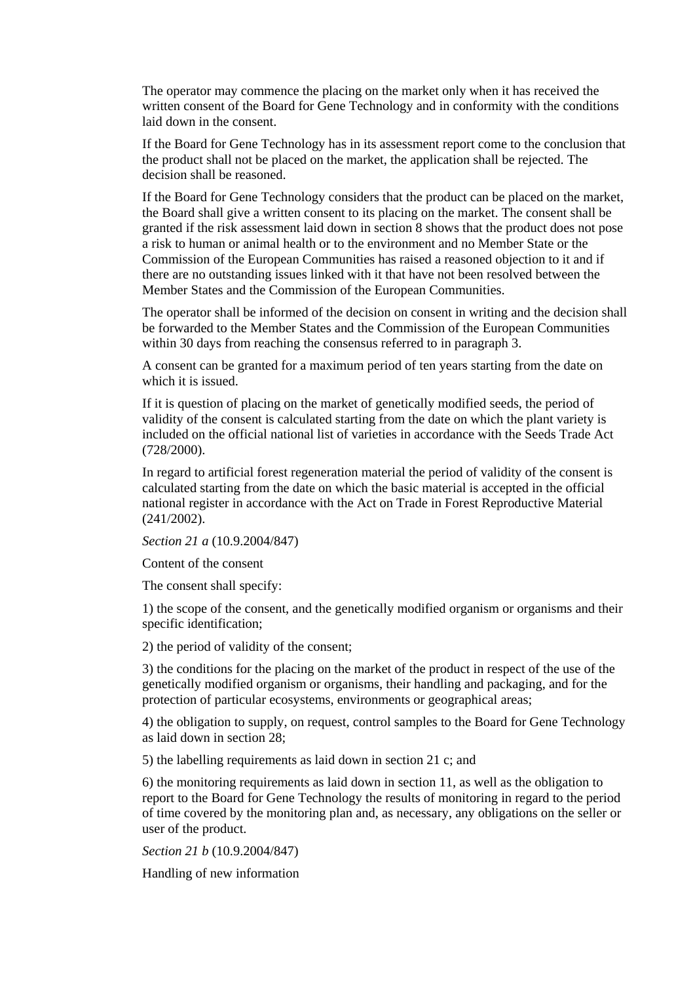The operator may commence the placing on the market only when it has received the written consent of the Board for Gene Technology and in conformity with the conditions laid down in the consent.

If the Board for Gene Technology has in its assessment report come to the conclusion that the product shall not be placed on the market, the application shall be rejected. The decision shall be reasoned.

If the Board for Gene Technology considers that the product can be placed on the market, the Board shall give a written consent to its placing on the market. The consent shall be granted if the risk assessment laid down in section 8 shows that the product does not pose a risk to human or animal health or to the environment and no Member State or the Commission of the European Communities has raised a reasoned objection to it and if there are no outstanding issues linked with it that have not been resolved between the Member States and the Commission of the European Communities.

The operator shall be informed of the decision on consent in writing and the decision shall be forwarded to the Member States and the Commission of the European Communities within 30 days from reaching the consensus referred to in paragraph 3.

A consent can be granted for a maximum period of ten years starting from the date on which it is issued.

If it is question of placing on the market of genetically modified seeds, the period of validity of the consent is calculated starting from the date on which the plant variety is included on the official national list of varieties in accordance with the Seeds Trade Act (728/2000).

In regard to artificial forest regeneration material the period of validity of the consent is calculated starting from the date on which the basic material is accepted in the official national register in accordance with the Act on Trade in Forest Reproductive Material (241/2002).

*Section 21 a* (10.9.2004/847)

Content of the consent

The consent shall specify:

1) the scope of the consent, and the genetically modified organism or organisms and their specific identification;

2) the period of validity of the consent;

3) the conditions for the placing on the market of the product in respect of the use of the genetically modified organism or organisms, their handling and packaging, and for the protection of particular ecosystems, environments or geographical areas;

4) the obligation to supply, on request, control samples to the Board for Gene Technology as laid down in section 28;

5) the labelling requirements as laid down in section 21 c; and

6) the monitoring requirements as laid down in section 11, as well as the obligation to report to the Board for Gene Technology the results of monitoring in regard to the period of time covered by the monitoring plan and, as necessary, any obligations on the seller or user of the product.

*Section 21 b* (10.9.2004/847)

Handling of new information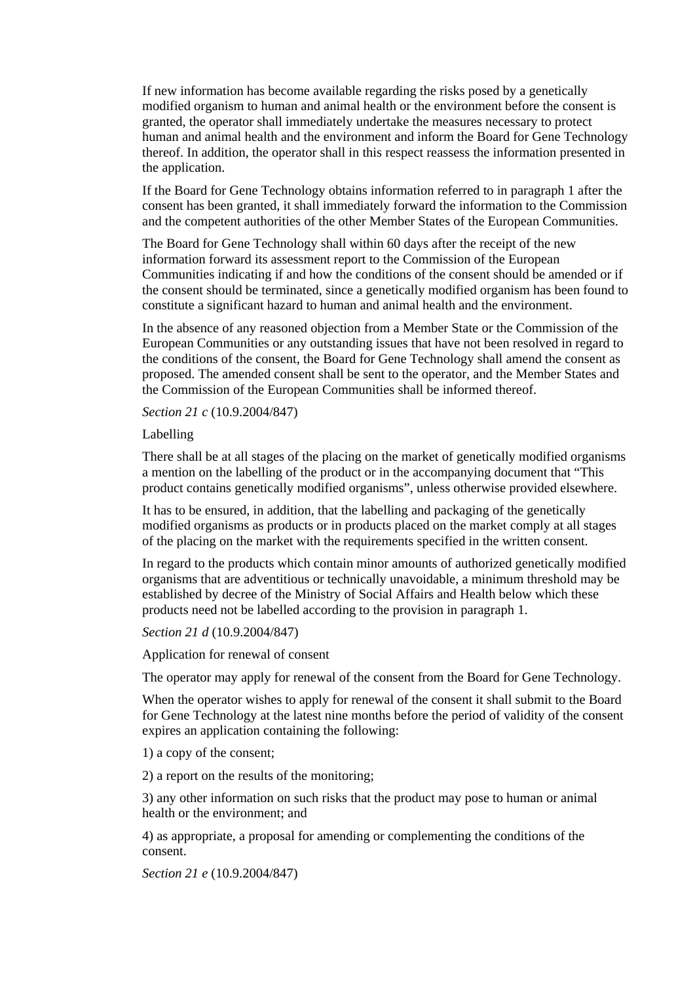If new information has become available regarding the risks posed by a genetically modified organism to human and animal health or the environment before the consent is granted, the operator shall immediately undertake the measures necessary to protect human and animal health and the environment and inform the Board for Gene Technology thereof. In addition, the operator shall in this respect reassess the information presented in the application.

If the Board for Gene Technology obtains information referred to in paragraph 1 after the consent has been granted, it shall immediately forward the information to the Commission and the competent authorities of the other Member States of the European Communities.

The Board for Gene Technology shall within 60 days after the receipt of the new information forward its assessment report to the Commission of the European Communities indicating if and how the conditions of the consent should be amended or if the consent should be terminated, since a genetically modified organism has been found to constitute a significant hazard to human and animal health and the environment.

In the absence of any reasoned objection from a Member State or the Commission of the European Communities or any outstanding issues that have not been resolved in regard to the conditions of the consent, the Board for Gene Technology shall amend the consent as proposed. The amended consent shall be sent to the operator, and the Member States and the Commission of the European Communities shall be informed thereof.

*Section 21 c* (10.9.2004/847)

Labelling

There shall be at all stages of the placing on the market of genetically modified organisms a mention on the labelling of the product or in the accompanying document that "This product contains genetically modified organisms", unless otherwise provided elsewhere.

It has to be ensured, in addition, that the labelling and packaging of the genetically modified organisms as products or in products placed on the market comply at all stages of the placing on the market with the requirements specified in the written consent.

In regard to the products which contain minor amounts of authorized genetically modified organisms that are adventitious or technically unavoidable, a minimum threshold may be established by decree of the Ministry of Social Affairs and Health below which these products need not be labelled according to the provision in paragraph 1.

*Section 21 d* (10.9.2004/847)

Application for renewal of consent

The operator may apply for renewal of the consent from the Board for Gene Technology.

When the operator wishes to apply for renewal of the consent it shall submit to the Board for Gene Technology at the latest nine months before the period of validity of the consent expires an application containing the following:

1) a copy of the consent;

2) a report on the results of the monitoring;

3) any other information on such risks that the product may pose to human or animal health or the environment; and

4) as appropriate, a proposal for amending or complementing the conditions of the consent.

*Section 21 e* (10.9.2004/847)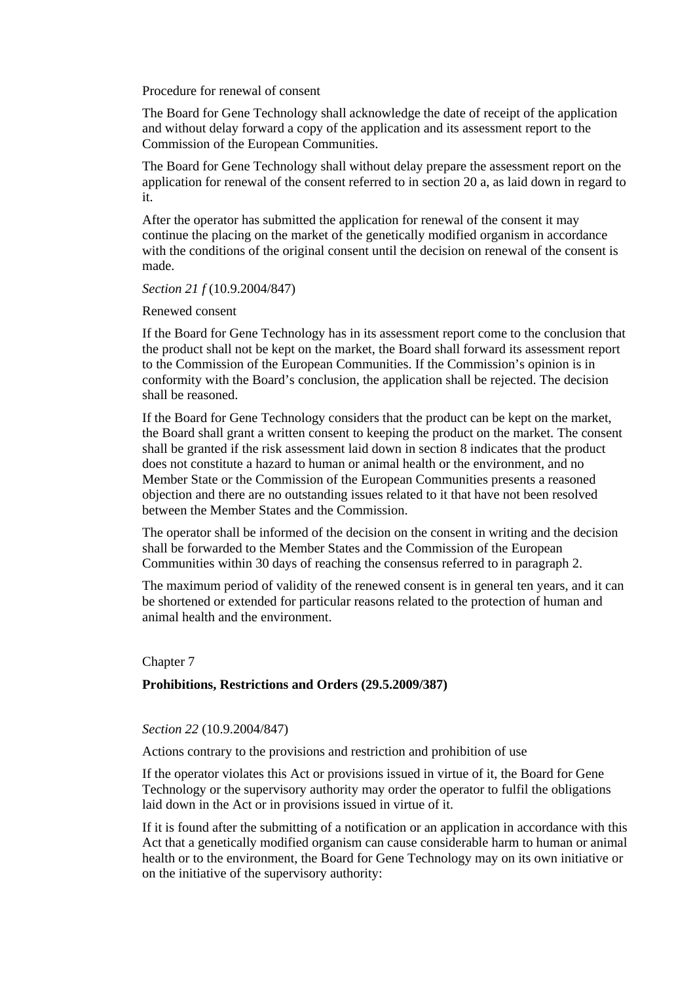Procedure for renewal of consent

The Board for Gene Technology shall acknowledge the date of receipt of the application and without delay forward a copy of the application and its assessment report to the Commission of the European Communities.

The Board for Gene Technology shall without delay prepare the assessment report on the application for renewal of the consent referred to in section 20 a, as laid down in regard to it.

After the operator has submitted the application for renewal of the consent it may continue the placing on the market of the genetically modified organism in accordance with the conditions of the original consent until the decision on renewal of the consent is made.

### *Section 21 f* (10.9.2004/847)

Renewed consent

If the Board for Gene Technology has in its assessment report come to the conclusion that the product shall not be kept on the market, the Board shall forward its assessment report to the Commission of the European Communities. If the Commission's opinion is in conformity with the Board's conclusion, the application shall be rejected. The decision shall be reasoned.

If the Board for Gene Technology considers that the product can be kept on the market, the Board shall grant a written consent to keeping the product on the market. The consent shall be granted if the risk assessment laid down in section 8 indicates that the product does not constitute a hazard to human or animal health or the environment, and no Member State or the Commission of the European Communities presents a reasoned objection and there are no outstanding issues related to it that have not been resolved between the Member States and the Commission.

The operator shall be informed of the decision on the consent in writing and the decision shall be forwarded to the Member States and the Commission of the European Communities within 30 days of reaching the consensus referred to in paragraph 2.

The maximum period of validity of the renewed consent is in general ten years, and it can be shortened or extended for particular reasons related to the protection of human and animal health and the environment.

### Chapter 7

### **Prohibitions, Restrictions and Orders (29.5.2009/387)**

# *Section 22* (10.9.2004/847)

Actions contrary to the provisions and restriction and prohibition of use

If the operator violates this Act or provisions issued in virtue of it, the Board for Gene Technology or the supervisory authority may order the operator to fulfil the obligations laid down in the Act or in provisions issued in virtue of it.

If it is found after the submitting of a notification or an application in accordance with this Act that a genetically modified organism can cause considerable harm to human or animal health or to the environment, the Board for Gene Technology may on its own initiative or on the initiative of the supervisory authority: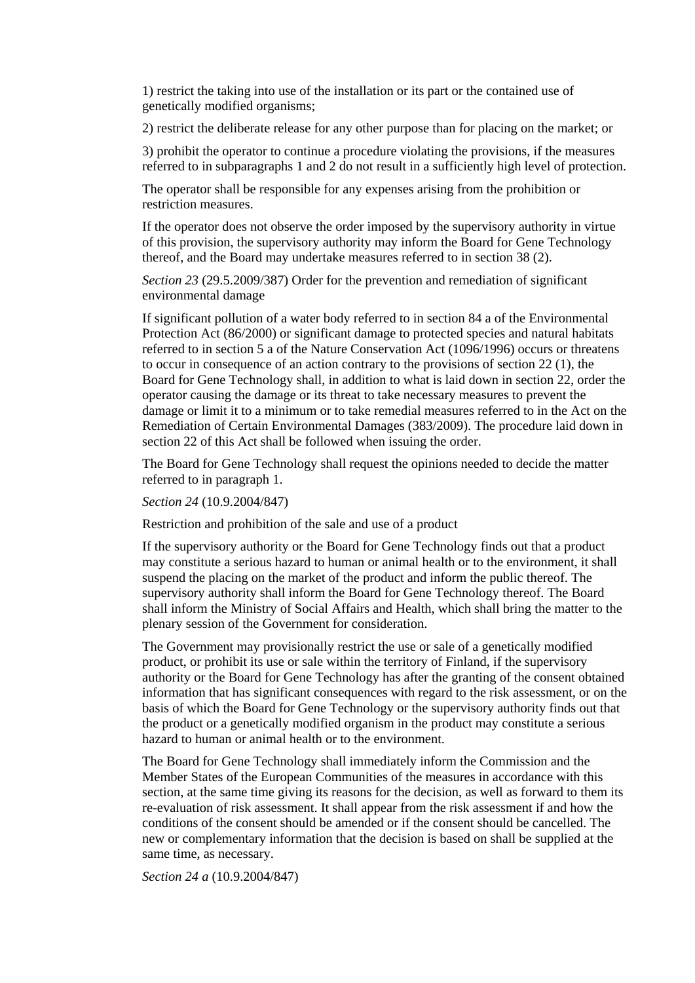1) restrict the taking into use of the installation or its part or the contained use of genetically modified organisms;

2) restrict the deliberate release for any other purpose than for placing on the market; or

3) prohibit the operator to continue a procedure violating the provisions, if the measures referred to in subparagraphs 1 and 2 do not result in a sufficiently high level of protection.

The operator shall be responsible for any expenses arising from the prohibition or restriction measures.

If the operator does not observe the order imposed by the supervisory authority in virtue of this provision, the supervisory authority may inform the Board for Gene Technology thereof, and the Board may undertake measures referred to in section 38 (2).

*Section 23* (29.5.2009/387) Order for the prevention and remediation of significant environmental damage

If significant pollution of a water body referred to in section 84 a of the Environmental Protection Act (86/2000) or significant damage to protected species and natural habitats referred to in section 5 a of the Nature Conservation Act (1096/1996) occurs or threatens to occur in consequence of an action contrary to the provisions of section 22 (1), the Board for Gene Technology shall, in addition to what is laid down in section 22, order the operator causing the damage or its threat to take necessary measures to prevent the damage or limit it to a minimum or to take remedial measures referred to in the Act on the Remediation of Certain Environmental Damages (383/2009). The procedure laid down in section 22 of this Act shall be followed when issuing the order.

The Board for Gene Technology shall request the opinions needed to decide the matter referred to in paragraph 1.

*Section 24* (10.9.2004/847)

Restriction and prohibition of the sale and use of a product

If the supervisory authority or the Board for Gene Technology finds out that a product may constitute a serious hazard to human or animal health or to the environment, it shall suspend the placing on the market of the product and inform the public thereof. The supervisory authority shall inform the Board for Gene Technology thereof. The Board shall inform the Ministry of Social Affairs and Health, which shall bring the matter to the plenary session of the Government for consideration.

The Government may provisionally restrict the use or sale of a genetically modified product, or prohibit its use or sale within the territory of Finland, if the supervisory authority or the Board for Gene Technology has after the granting of the consent obtained information that has significant consequences with regard to the risk assessment, or on the basis of which the Board for Gene Technology or the supervisory authority finds out that the product or a genetically modified organism in the product may constitute a serious hazard to human or animal health or to the environment.

The Board for Gene Technology shall immediately inform the Commission and the Member States of the European Communities of the measures in accordance with this section, at the same time giving its reasons for the decision, as well as forward to them its re-evaluation of risk assessment. It shall appear from the risk assessment if and how the conditions of the consent should be amended or if the consent should be cancelled. The new or complementary information that the decision is based on shall be supplied at the same time, as necessary.

*Section 24 a* (10.9.2004/847)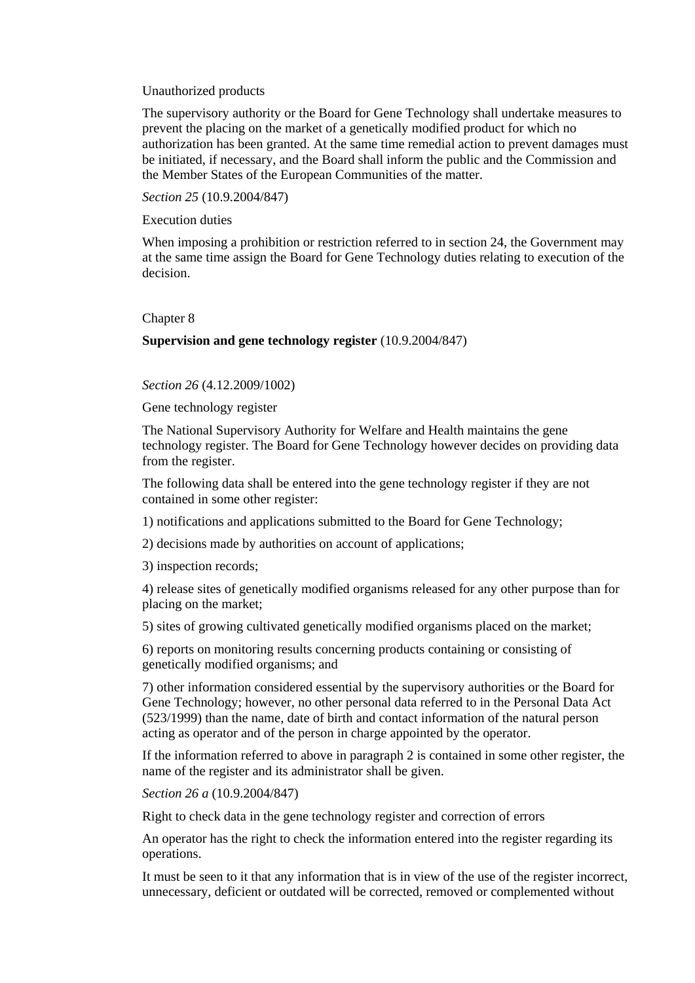#### Unauthorized products

The supervisory authority or the Board for Gene Technology shall undertake measures to prevent the placing on the market of a genetically modified product for which no authorization has been granted. At the same time remedial action to prevent damages must be initiated, if necessary, and the Board shall inform the public and the Commission and the Member States of the European Communities of the matter.

*Section 25* (10.9.2004/847)

Execution duties

When imposing a prohibition or restriction referred to in section 24, the Government may at the same time assign the Board for Gene Technology duties relating to execution of the decision.

#### Chapter 8

# **Supervision and gene technology register** (10.9.2004/847)

#### *Section 26* (4.12.2009/1002)

Gene technology register

The National Supervisory Authority for Welfare and Health maintains the gene technology register. The Board for Gene Technology however decides on providing data from the register.

The following data shall be entered into the gene technology register if they are not contained in some other register:

1) notifications and applications submitted to the Board for Gene Technology;

2) decisions made by authorities on account of applications;

3) inspection records;

4) release sites of genetically modified organisms released for any other purpose than for placing on the market;

5) sites of growing cultivated genetically modified organisms placed on the market;

6) reports on monitoring results concerning products containing or consisting of genetically modified organisms; and

7) other information considered essential by the supervisory authorities or the Board for Gene Technology; however, no other personal data referred to in the Personal Data Act (523/1999) than the name, date of birth and contact information of the natural person acting as operator and of the person in charge appointed by the operator.

If the information referred to above in paragraph 2 is contained in some other register, the name of the register and its administrator shall be given.

*Section 26 a* (10.9.2004/847)

Right to check data in the gene technology register and correction of errors

An operator has the right to check the information entered into the register regarding its operations.

It must be seen to it that any information that is in view of the use of the register incorrect, unnecessary, deficient or outdated will be corrected, removed or complemented without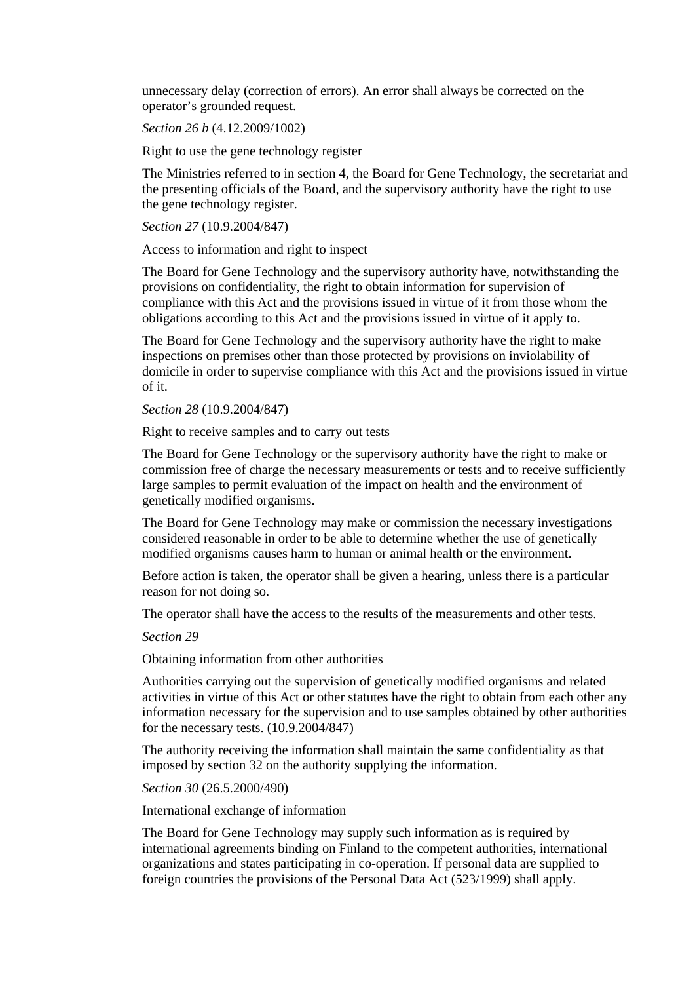unnecessary delay (correction of errors). An error shall always be corrected on the operator's grounded request.

*Section 26 b* (4.12.2009/1002)

Right to use the gene technology register

The Ministries referred to in section 4, the Board for Gene Technology, the secretariat and the presenting officials of the Board, and the supervisory authority have the right to use the gene technology register.

*Section 27* (10.9.2004/847)

Access to information and right to inspect

The Board for Gene Technology and the supervisory authority have, notwithstanding the provisions on confidentiality, the right to obtain information for supervision of compliance with this Act and the provisions issued in virtue of it from those whom the obligations according to this Act and the provisions issued in virtue of it apply to.

The Board for Gene Technology and the supervisory authority have the right to make inspections on premises other than those protected by provisions on inviolability of domicile in order to supervise compliance with this Act and the provisions issued in virtue of it.

*Section 28* (10.9.2004/847)

Right to receive samples and to carry out tests

The Board for Gene Technology or the supervisory authority have the right to make or commission free of charge the necessary measurements or tests and to receive sufficiently large samples to permit evaluation of the impact on health and the environment of genetically modified organisms.

The Board for Gene Technology may make or commission the necessary investigations considered reasonable in order to be able to determine whether the use of genetically modified organisms causes harm to human or animal health or the environment.

Before action is taken, the operator shall be given a hearing, unless there is a particular reason for not doing so.

The operator shall have the access to the results of the measurements and other tests.

*Section 29* 

Obtaining information from other authorities

Authorities carrying out the supervision of genetically modified organisms and related activities in virtue of this Act or other statutes have the right to obtain from each other any information necessary for the supervision and to use samples obtained by other authorities for the necessary tests. (10.9.2004/847)

The authority receiving the information shall maintain the same confidentiality as that imposed by section 32 on the authority supplying the information.

*Section 30* (26.5.2000/490)

International exchange of information

The Board for Gene Technology may supply such information as is required by international agreements binding on Finland to the competent authorities, international organizations and states participating in co-operation. If personal data are supplied to foreign countries the provisions of the Personal Data Act (523/1999) shall apply.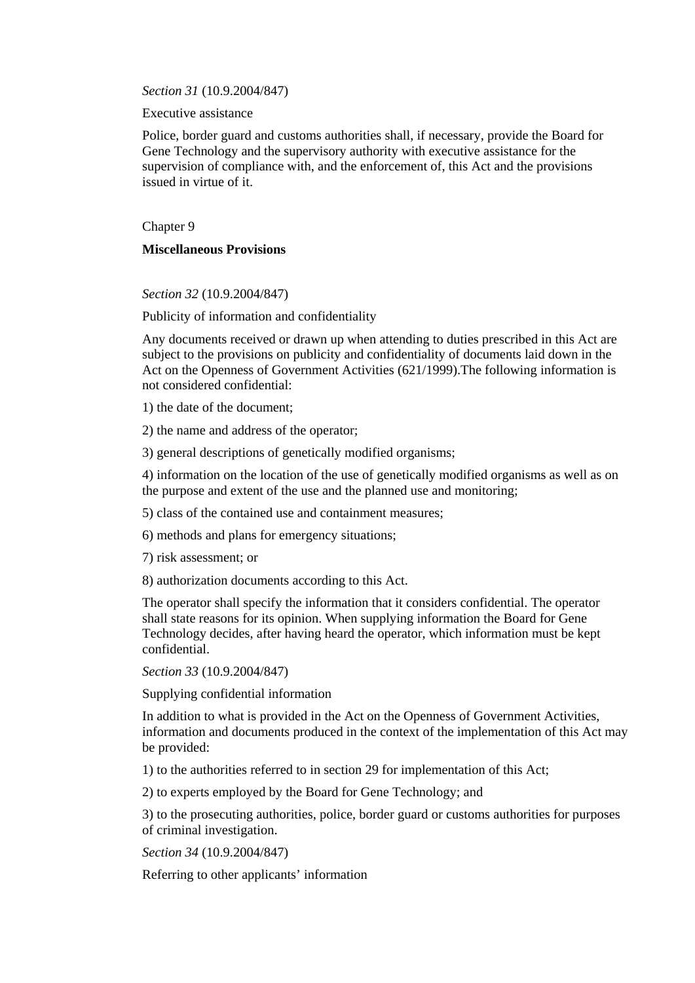*Section 31* (10.9.2004/847)

Executive assistance

Police, border guard and customs authorities shall, if necessary, provide the Board for Gene Technology and the supervisory authority with executive assistance for the supervision of compliance with, and the enforcement of, this Act and the provisions issued in virtue of it.

Chapter 9

# **Miscellaneous Provisions**

*Section 32* (10.9.2004/847)

Publicity of information and confidentiality

Any documents received or drawn up when attending to duties prescribed in this Act are subject to the provisions on publicity and confidentiality of documents laid down in the Act on the Openness of Government Activities (621/1999).The following information is not considered confidential:

1) the date of the document;

2) the name and address of the operator;

3) general descriptions of genetically modified organisms;

4) information on the location of the use of genetically modified organisms as well as on the purpose and extent of the use and the planned use and monitoring;

5) class of the contained use and containment measures;

6) methods and plans for emergency situations;

7) risk assessment; or

8) authorization documents according to this Act.

The operator shall specify the information that it considers confidential. The operator shall state reasons for its opinion. When supplying information the Board for Gene Technology decides, after having heard the operator, which information must be kept confidential.

*Section 33* (10.9.2004/847)

Supplying confidential information

In addition to what is provided in the Act on the Openness of Government Activities, information and documents produced in the context of the implementation of this Act may be provided:

1) to the authorities referred to in section 29 for implementation of this Act;

2) to experts employed by the Board for Gene Technology; and

3) to the prosecuting authorities, police, border guard or customs authorities for purposes of criminal investigation.

*Section 34* (10.9.2004/847)

Referring to other applicants' information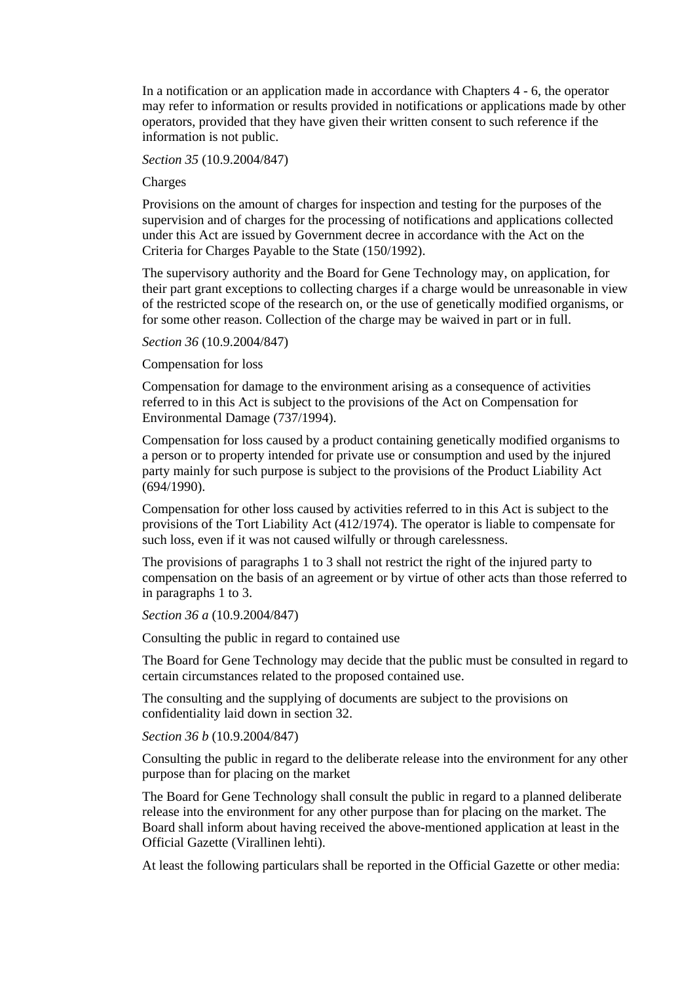In a notification or an application made in accordance with Chapters 4 - 6, the operator may refer to information or results provided in notifications or applications made by other operators, provided that they have given their written consent to such reference if the information is not public.

### *Section 35* (10.9.2004/847)

### Charges

Provisions on the amount of charges for inspection and testing for the purposes of the supervision and of charges for the processing of notifications and applications collected under this Act are issued by Government decree in accordance with the Act on the Criteria for Charges Payable to the State (150/1992).

The supervisory authority and the Board for Gene Technology may, on application, for their part grant exceptions to collecting charges if a charge would be unreasonable in view of the restricted scope of the research on, or the use of genetically modified organisms, or for some other reason. Collection of the charge may be waived in part or in full.

### *Section 36* (10.9.2004/847)

### Compensation for loss

Compensation for damage to the environment arising as a consequence of activities referred to in this Act is subject to the provisions of the Act on Compensation for Environmental Damage (737/1994).

Compensation for loss caused by a product containing genetically modified organisms to a person or to property intended for private use or consumption and used by the injured party mainly for such purpose is subject to the provisions of the Product Liability Act (694/1990).

Compensation for other loss caused by activities referred to in this Act is subject to the provisions of the Tort Liability Act (412/1974). The operator is liable to compensate for such loss, even if it was not caused wilfully or through carelessness.

The provisions of paragraphs 1 to 3 shall not restrict the right of the injured party to compensation on the basis of an agreement or by virtue of other acts than those referred to in paragraphs 1 to 3.

### *Section 36 a* (10.9.2004/847)

Consulting the public in regard to contained use

The Board for Gene Technology may decide that the public must be consulted in regard to certain circumstances related to the proposed contained use.

The consulting and the supplying of documents are subject to the provisions on confidentiality laid down in section 32.

# *Section 36 b* (10.9.2004/847)

Consulting the public in regard to the deliberate release into the environment for any other purpose than for placing on the market

The Board for Gene Technology shall consult the public in regard to a planned deliberate release into the environment for any other purpose than for placing on the market. The Board shall inform about having received the above-mentioned application at least in the Official Gazette (Virallinen lehti).

At least the following particulars shall be reported in the Official Gazette or other media: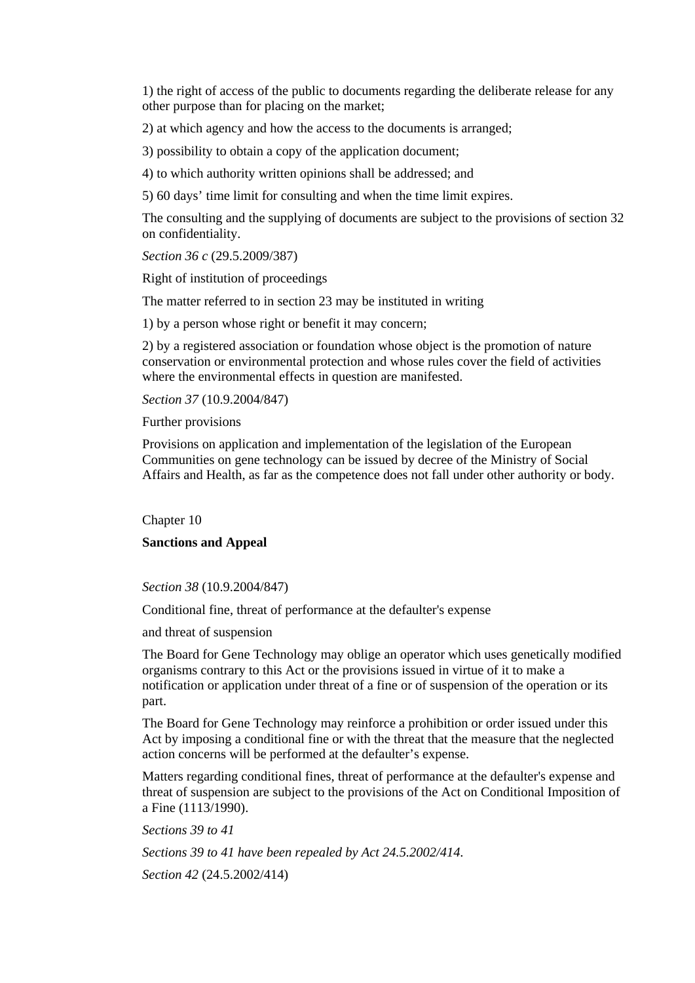1) the right of access of the public to documents regarding the deliberate release for any other purpose than for placing on the market;

2) at which agency and how the access to the documents is arranged;

3) possibility to obtain a copy of the application document;

4) to which authority written opinions shall be addressed; and

5) 60 days' time limit for consulting and when the time limit expires.

The consulting and the supplying of documents are subject to the provisions of section 32 on confidentiality.

*Section 36 c* (29.5.2009/387)

Right of institution of proceedings

The matter referred to in section 23 may be instituted in writing

1) by a person whose right or benefit it may concern;

2) by a registered association or foundation whose object is the promotion of nature conservation or environmental protection and whose rules cover the field of activities where the environmental effects in question are manifested.

*Section 37* (10.9.2004/847)

Further provisions

Provisions on application and implementation of the legislation of the European Communities on gene technology can be issued by decree of the Ministry of Social Affairs and Health, as far as the competence does not fall under other authority or body.

Chapter 10

# **Sanctions and Appeal**

*Section 38* (10.9.2004/847)

Conditional fine, threat of performance at the defaulter's expense

and threat of suspension

The Board for Gene Technology may oblige an operator which uses genetically modified organisms contrary to this Act or the provisions issued in virtue of it to make a notification or application under threat of a fine or of suspension of the operation or its part.

The Board for Gene Technology may reinforce a prohibition or order issued under this Act by imposing a conditional fine or with the threat that the measure that the neglected action concerns will be performed at the defaulter's expense.

Matters regarding conditional fines, threat of performance at the defaulter's expense and threat of suspension are subject to the provisions of the Act on Conditional Imposition of a Fine (1113/1990).

*Sections 39 to 41* 

*Sections 39 to 41 have been repealed by Act 24.5.2002/414*.

*Section 42* (24.5.2002/414)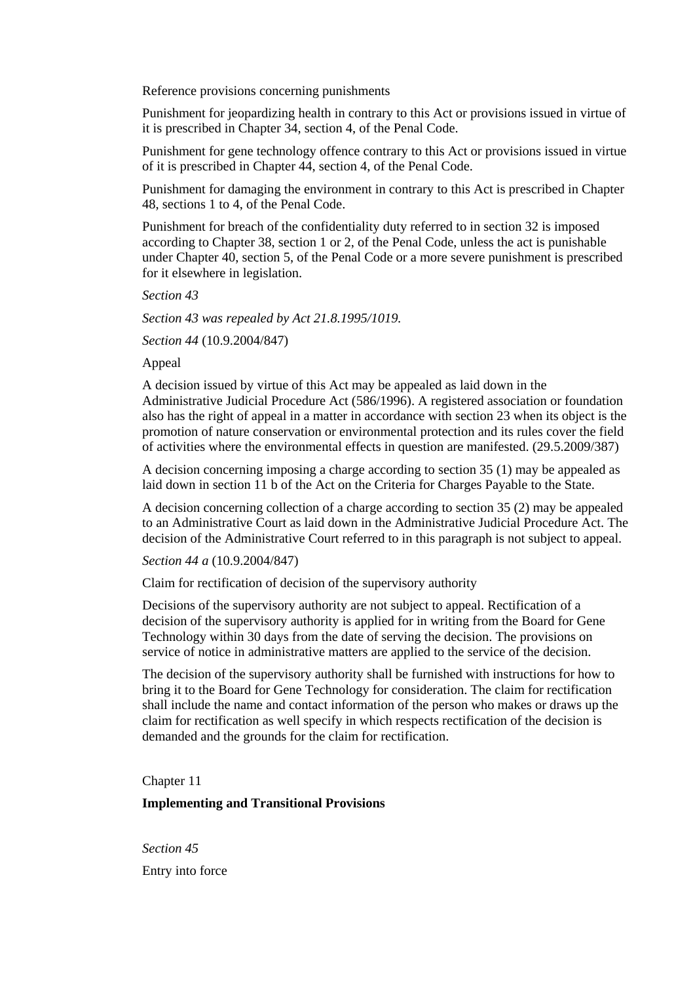Reference provisions concerning punishments

Punishment for jeopardizing health in contrary to this Act or provisions issued in virtue of it is prescribed in Chapter 34, section 4, of the Penal Code.

Punishment for gene technology offence contrary to this Act or provisions issued in virtue of it is prescribed in Chapter 44, section 4, of the Penal Code.

Punishment for damaging the environment in contrary to this Act is prescribed in Chapter 48, sections 1 to 4, of the Penal Code.

Punishment for breach of the confidentiality duty referred to in section 32 is imposed according to Chapter 38, section 1 or 2, of the Penal Code, unless the act is punishable under Chapter 40, section 5, of the Penal Code or a more severe punishment is prescribed for it elsewhere in legislation.

*Section 43* 

*Section 43 was repealed by Act 21.8.1995/1019.* 

*Section 44* (10.9.2004/847)

Appeal

A decision issued by virtue of this Act may be appealed as laid down in the Administrative Judicial Procedure Act (586/1996). A registered association or foundation also has the right of appeal in a matter in accordance with section 23 when its object is the promotion of nature conservation or environmental protection and its rules cover the field of activities where the environmental effects in question are manifested. (29.5.2009/387)

A decision concerning imposing a charge according to section 35 (1) may be appealed as laid down in section 11 b of the Act on the Criteria for Charges Payable to the State.

A decision concerning collection of a charge according to section 35 (2) may be appealed to an Administrative Court as laid down in the Administrative Judicial Procedure Act. The decision of the Administrative Court referred to in this paragraph is not subject to appeal.

*Section 44 a* (10.9.2004/847)

Claim for rectification of decision of the supervisory authority

Decisions of the supervisory authority are not subject to appeal. Rectification of a decision of the supervisory authority is applied for in writing from the Board for Gene Technology within 30 days from the date of serving the decision. The provisions on service of notice in administrative matters are applied to the service of the decision.

The decision of the supervisory authority shall be furnished with instructions for how to bring it to the Board for Gene Technology for consideration. The claim for rectification shall include the name and contact information of the person who makes or draws up the claim for rectification as well specify in which respects rectification of the decision is demanded and the grounds for the claim for rectification.

Chapter 11

**Implementing and Transitional Provisions**

*Section 45*  Entry into force